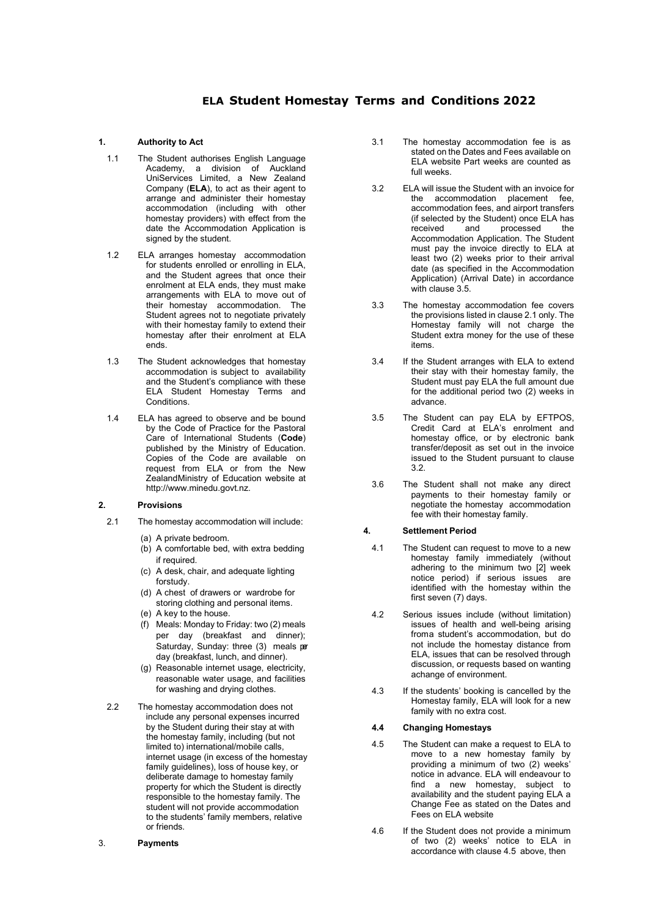## **ELA Student Homestay Terms and Conditions 2022**

## **1. Authority to Act**

- 1.1 The Student authorises English Language Academy, a division of Auckland UniServices Limited, a New Zealand Company (**ELA**), to act as their agent to arrange and administer their homestay accommodation (including with other homestay providers) with effect from the date the Accommodation Application is signed by the student.
- 1.2 ELA arranges homestay accommodation for students enrolled or enrolling in ELA, and the Student agrees that once their enrolment at ELA ends, they must make arrangements with ELA to move out of their homestay accommodation. The Student agrees not to negotiate privately with their homestay family to extend their homestay after their enrolment at ELA ends.
- 1.3 The Student acknowledges that homestay accommodation is subject to availability and the Student's compliance with these ELA Student Homestay Terms and Conditions.
- 1.4 ELA has agreed to observe and be bound by the Code of Practice for the Pastoral Care of International Students (**Code**) published by the Ministry of Education. Copies of the Code are available on request from ELA or from the New ZealandMinistry of Education website at [http://www.minedu.govt.nz.](http://www.minedu.govt.nz/)

## **2. Provisions**

- 2.1 The homestay accommodation will include:
	- (a) A private bedroom.
	- (b) A comfortable bed, with extra bedding if required.
	- (c) A desk, chair, and adequate lighting forstudy.
	- (d) A chest of drawers or wardrobe for storing clothing and personal items.
	- (e) A key to the house.
	- (f) Meals: Monday to Friday: two (2) meals per day (breakfast and dinner); Saturday, Sunday: three  $(3)$  meals  $\overline{\text{pr}}$ day (breakfast, lunch, and dinner).
	- (g) Reasonable internet usage, electricity, reasonable water usage, and facilities for washing and drying clothes.
- 2.2 The homestay accommodation does not include any personal expenses incurred by the Student during their stay at with the homestay family, including (but not limited to) international/mobile calls, internet usage (in excess of the homestay family guidelines), loss of house key, or deliberate damage to homestay family property for which the Student is directly responsible to the homestay family. The student will not provide accommodation to the students' family members, relative or friends.
- 3. **Payments**
- 3.1 The homestay accommodation fee is as stated on the Dates and Fees available on ELA website Part weeks are counted as full weeks.
- 3.2 ELA will issue the Student with an invoice for the accommodation placement fee, accommodation fees, and airport transfers (if selected by the Student) once ELA has<br>received and processed the processed the Accommodation Application. The Student must pay the invoice directly to ELA at least two (2) weeks prior to their arrival date (as specified in the Accommodation Application) (Arrival Date) in accordance with clause 3.5.
- 3.3 The homestay accommodation fee covers the provisions listed in clause 2.1 only. The Homestay family will not charge the Student extra money for the use of these items.
- 3.4 If the Student arranges with ELA to extend their stay with their homestay family, the Student must pay ELA the full amount due for the additional period two (2) weeks in advance.
- 3.5 The Student can pay ELA by EFTPOS, Credit Card at ELA's enrolment and homestay office, or by electronic bank transfer/deposit as set out in the invoice issued to the Student pursuant to clause 3.2.
- 3.6 The Student shall not make any direct payments to their homestay family or negotiate the homestay accommodation fee with their homestay family.

## **4. Settlement Period**

- 4.1 The Student can request to move to a new homestay family immediately (without adhering to the minimum two [2] week notice period) if serious issues are identified with the homestay within the first seven (7) days.
- 4.2 Serious issues include (without limitation) issues of health and well-being arising froma student's accommodation, but do not include the homestay distance from ELA, issues that can be resolved through discussion, or requests based on wanting achange of environment.
- 4.3 If the students' booking is cancelled by the Homestay family, ELA will look for a new family with no extra cost.

#### **4.4 Changing Homestays**

- 4.5 The Student can make a request to ELA to move to a new homestay family by providing a minimum of two (2) weeks' notice in advance. ELA will endeavour to find a new homestay, subject to availability and the student paying ELA a Change Fee as stated on the Dates and Fees on ELA website
- 4.6 If the Student does not provide a minimum of two (2) weeks' notice to ELA in accordance with clause 4.5 above, then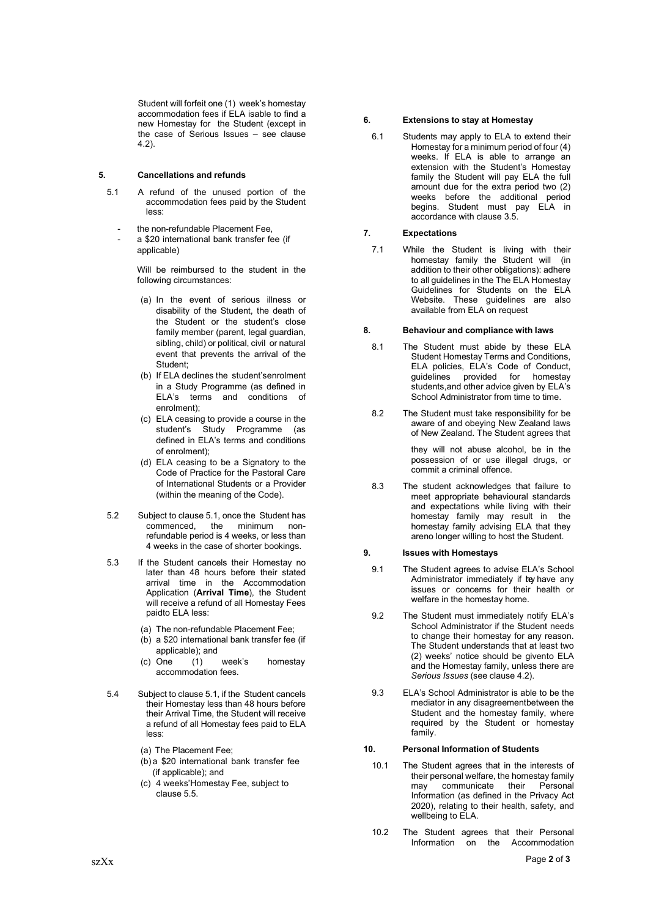Student will forfeit one (1) week's homestay accommodation fees if ELA isable to find a new Homestay for the Student (except in the case of Serious Issues – see clause 4.2).

#### **5. Cancellations and refunds**

- 5.1 A refund of the unused portion of the accommodation fees paid by the Student less:
	- the non-refundable Placement Fee,
	- a \$20 international bank transfer fee (if applicable)

Will be reimbursed to the student in the following circumstances:

- (a) In the event of serious illness or disability of the Student, the death of the Student or the student's close family member (parent, legal guardian, sibling, child) or political, civil or natural event that prevents the arrival of the Student;
- (b) If ELA declines the student'senrolment in a Study Programme (as defined in ELA's terms and conditions of enrolment);
- (c) ELA ceasing to provide a course in the student's Study Programme (as defined in ELA's terms and conditions of enrolment);
- (d) ELA ceasing to be a Signatory to the Code of Practice for the Pastoral Care of International Students or a Provider (within the meaning of the Code).
- 5.2 Subject to clause 5.1, once the Student has commenced, the minimum nonrefundable period is 4 weeks, or less than 4 weeks in the case of shorter bookings.
- 5.3 If the Student cancels their Homestay no later than 48 hours before their stated arrival time in the Accommodation Application (**Arrival Time**), the Student will receive a refund of all Homestay Fees paidto ELA less:
	- (a) The non-refundable Placement Fee;
	- (b) a \$20 international bank transfer fee (if applicable); and
	- (c) One (1) week's homestay accommodation fees.
- 5.4 Subject to clause 5.1, if the Student cancels their Homestay less than 48 hours before their Arrival Time, the Student will receive a refund of all Homestay fees paid to ELA less:
	- (a) The Placement Fee;
	- (b) a \$20 international bank transfer fee (if applicable); and
	- (c) 4 weeks'Homestay Fee, subject to clause 5.5.

## **6. Extensions to stay at Homestay**

6.1 Students may apply to ELA to extend their Homestay for a minimum period of four (4) weeks. If ELA is able to arrange an extension with the Student's Homestay family the Student will pay ELA the full amount due for the extra period two (2) weeks before the additional period begins. Student must pay ELA in accordance with clause 3.5.

## **7. Expectations**

7.1 While the Student is living with their homestay family the Student will (in addition to their other obligations): adhere to all guidelines in the The ELA Homestay Guidelines for Students on the ELA Website. These guidelines are also available from ELA on request

#### **8. Behaviour and compliance with laws**

- 8.1 The Student must abide by these ELA Student Homestay Terms and Conditions, ELA policies, ELA's Code of Conduct, guidelines provided for homestay students,and other advice given by ELA's School Administrator from time to time.
- 8.2 The Student must take responsibility for be aware of and obeying New Zealand laws of New Zealand. The Student agrees that

they will not abuse alcohol, be in the possession of or use illegal drugs, or commit a criminal offence.

8.3 The student acknowledges that failure to meet appropriate behavioural standards and expectations while living with their homestay family may result in the homestay family advising ELA that they areno longer willing to host the Student.

## **9. Issues with Homestays**

- 9.1 The Student agrees to advise ELA's School Administrator immediately if tay have any issues or concerns for their health or welfare in the homestay home.
- 9.2 The Student must immediately notify ELA's School Administrator if the Student needs to change their homestay for any reason. The Student understands that at least two (2) weeks' notice should be givento ELA and the Homestay family, unless there are *Serious Issues* (see clause 4.2).
- 9.3 ELA's School Administrator is able to be the mediator in any disagreementbetween the Student and the homestay family, where required by the Student or homestay family.

## **10. Personal Information of Students**

- 10.1 The Student agrees that in the interests of their personal welfare, the homestay family may communicate their Personal Information (as defined in the Privacy Act 2020), relating to their health, safety, and wellbeing to ELA.
- 10.2 The Student agrees that their Personal Information on the Accommodation